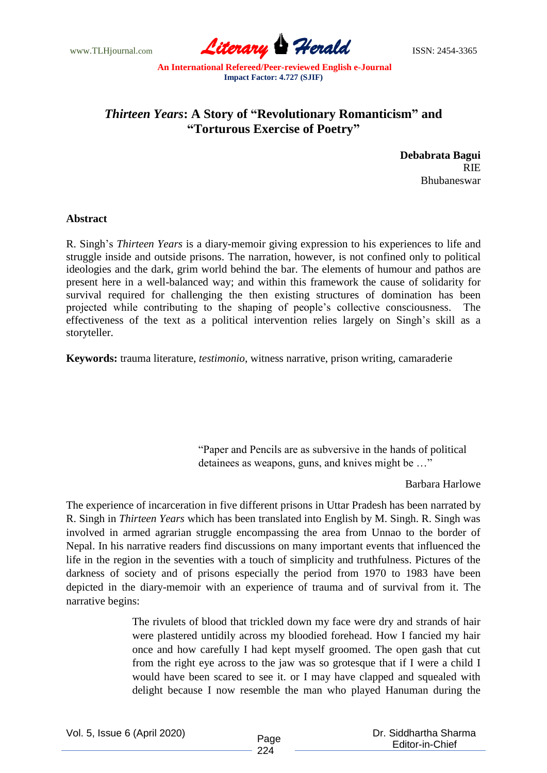www.TLHjournal.com **Literary Herald Herald ISSN: 2454-3365** 

## *Thirteen Years***: A Story of "Revolutionary Romanticism" and "Torturous Exercise of Poetry"**

**Debabrata Bagui** RIE Bhubaneswar

## **Abstract**

R. Singh's *Thirteen Years* is a diary-memoir giving expression to his experiences to life and struggle inside and outside prisons. The narration, however, is not confined only to political ideologies and the dark, grim world behind the bar. The elements of humour and pathos are present here in a well-balanced way; and within this framework the cause of solidarity for survival required for challenging the then existing structures of domination has been projected while contributing to the shaping of people's collective consciousness. The effectiveness of the text as a political intervention relies largely on Singh's skill as a storyteller.

**Keywords:** trauma literature, *testimonio*, witness narrative, prison writing, camaraderie

"Paper and Pencils are as subversive in the hands of political detainees as weapons, guns, and knives might be …"

## Barbara Harlowe

The experience of incarceration in five different prisons in Uttar Pradesh has been narrated by R. Singh in *Thirteen Years* which has been translated into English by M. Singh. R. Singh was involved in armed agrarian struggle encompassing the area from Unnao to the border of Nepal. In his narrative readers find discussions on many important events that influenced the life in the region in the seventies with a touch of simplicity and truthfulness. Pictures of the darkness of society and of prisons especially the period from 1970 to 1983 have been depicted in the diary-memoir with an experience of trauma and of survival from it. The narrative begins:

> The rivulets of blood that trickled down my face were dry and strands of hair were plastered untidily across my bloodied forehead. How I fancied my hair once and how carefully I had kept myself groomed. The open gash that cut from the right eye across to the jaw was so grotesque that if I were a child I would have been scared to see it. or I may have clapped and squealed with delight because I now resemble the man who played Hanuman during the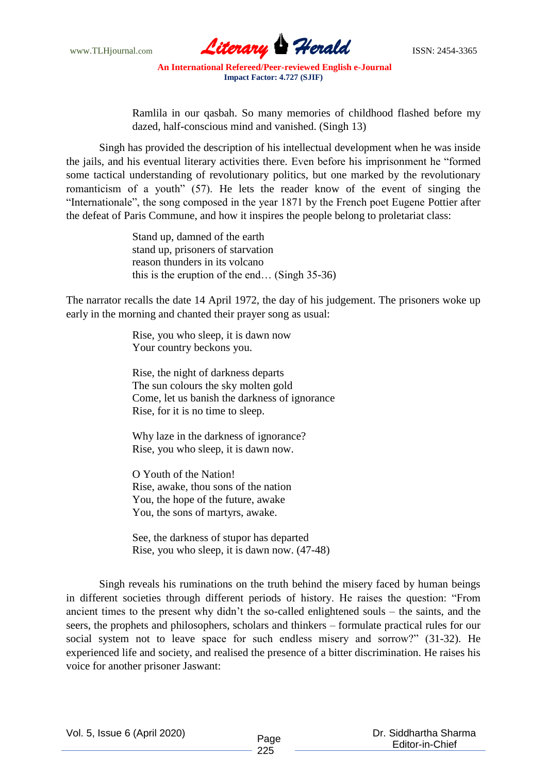

Ramlila in our qasbah. So many memories of childhood flashed before my dazed, half-conscious mind and vanished. (Singh 13)

Singh has provided the description of his intellectual development when he was inside the jails, and his eventual literary activities there. Even before his imprisonment he "formed some tactical understanding of revolutionary politics, but one marked by the revolutionary romanticism of a youth" (57). He lets the reader know of the event of singing the "Internationale", the song composed in the year 1871 by the French poet Eugene Pottier after the defeat of Paris Commune, and how it inspires the people belong to proletariat class:

> Stand up, damned of the earth stand up, prisoners of starvation reason thunders in its volcano this is the eruption of the end… (Singh 35-36)

The narrator recalls the date 14 April 1972, the day of his judgement. The prisoners woke up early in the morning and chanted their prayer song as usual:

> Rise, you who sleep, it is dawn now Your country beckons you.

Rise, the night of darkness departs The sun colours the sky molten gold Come, let us banish the darkness of ignorance Rise, for it is no time to sleep.

Why laze in the darkness of ignorance? Rise, you who sleep, it is dawn now.

O Youth of the Nation! Rise, awake, thou sons of the nation You, the hope of the future, awake You, the sons of martyrs, awake.

See, the darkness of stupor has departed Rise, you who sleep, it is dawn now. (47-48)

Singh reveals his ruminations on the truth behind the misery faced by human beings in different societies through different periods of history. He raises the question: "From ancient times to the present why didn't the so-called enlightened souls – the saints, and the seers, the prophets and philosophers, scholars and thinkers – formulate practical rules for our social system not to leave space for such endless misery and sorrow?" (31-32). He experienced life and society, and realised the presence of a bitter discrimination. He raises his voice for another prisoner Jaswant: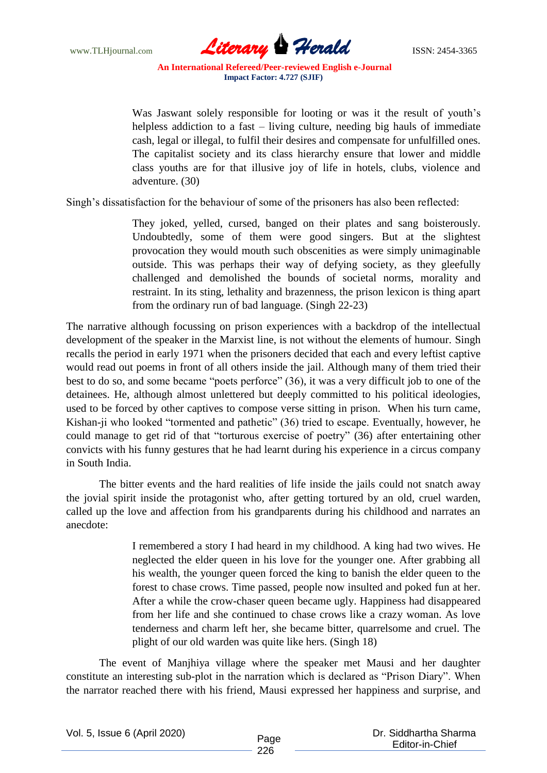www.TLHjournal.com **Literary Herald ISSN: 2454-3365** 

Was Jaswant solely responsible for looting or was it the result of youth's helpless addiction to a fast – living culture, needing big hauls of immediate cash, legal or illegal, to fulfil their desires and compensate for unfulfilled ones. The capitalist society and its class hierarchy ensure that lower and middle class youths are for that illusive joy of life in hotels, clubs, violence and adventure. (30)

Singh's dissatisfaction for the behaviour of some of the prisoners has also been reflected:

They joked, yelled, cursed, banged on their plates and sang boisterously. Undoubtedly, some of them were good singers. But at the slightest provocation they would mouth such obscenities as were simply unimaginable outside. This was perhaps their way of defying society, as they gleefully challenged and demolished the bounds of societal norms, morality and restraint. In its sting, lethality and brazenness, the prison lexicon is thing apart from the ordinary run of bad language. (Singh 22-23)

The narrative although focussing on prison experiences with a backdrop of the intellectual development of the speaker in the Marxist line, is not without the elements of humour. Singh recalls the period in early 1971 when the prisoners decided that each and every leftist captive would read out poems in front of all others inside the jail. Although many of them tried their best to do so, and some became "poets perforce" (36), it was a very difficult job to one of the detainees. He, although almost unlettered but deeply committed to his political ideologies, used to be forced by other captives to compose verse sitting in prison. When his turn came, Kishan-ji who looked "tormented and pathetic" (36) tried to escape. Eventually, however, he could manage to get rid of that "torturous exercise of poetry" (36) after entertaining other convicts with his funny gestures that he had learnt during his experience in a circus company in South India.

The bitter events and the hard realities of life inside the jails could not snatch away the jovial spirit inside the protagonist who, after getting tortured by an old, cruel warden, called up the love and affection from his grandparents during his childhood and narrates an anecdote:

> I remembered a story I had heard in my childhood. A king had two wives. He neglected the elder queen in his love for the younger one. After grabbing all his wealth, the younger queen forced the king to banish the elder queen to the forest to chase crows. Time passed, people now insulted and poked fun at her. After a while the crow-chaser queen became ugly. Happiness had disappeared from her life and she continued to chase crows like a crazy woman. As love tenderness and charm left her, she became bitter, quarrelsome and cruel. The plight of our old warden was quite like hers. (Singh 18)

The event of Manjhiya village where the speaker met Mausi and her daughter constitute an interesting sub-plot in the narration which is declared as "Prison Diary". When the narrator reached there with his friend, Mausi expressed her happiness and surprise, and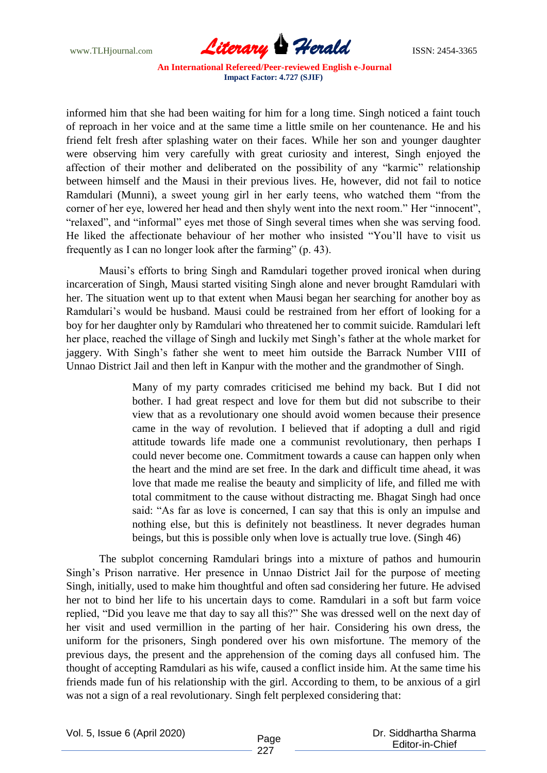www.TLHjournal.com **Literary Herald ISSN: 2454-3365** 

informed him that she had been waiting for him for a long time. Singh noticed a faint touch of reproach in her voice and at the same time a little smile on her countenance. He and his friend felt fresh after splashing water on their faces. While her son and younger daughter were observing him very carefully with great curiosity and interest, Singh enjoyed the affection of their mother and deliberated on the possibility of any "karmic" relationship between himself and the Mausi in their previous lives. He, however, did not fail to notice Ramdulari (Munni), a sweet young girl in her early teens, who watched them "from the corner of her eye, lowered her head and then shyly went into the next room." Her "innocent", "relaxed", and "informal" eyes met those of Singh several times when she was serving food. He liked the affectionate behaviour of her mother who insisted "You'll have to visit us frequently as I can no longer look after the farming" (p. 43).

Mausi's efforts to bring Singh and Ramdulari together proved ironical when during incarceration of Singh, Mausi started visiting Singh alone and never brought Ramdulari with her. The situation went up to that extent when Mausi began her searching for another boy as Ramdulari's would be husband. Mausi could be restrained from her effort of looking for a boy for her daughter only by Ramdulari who threatened her to commit suicide. Ramdulari left her place, reached the village of Singh and luckily met Singh's father at the whole market for jaggery. With Singh's father she went to meet him outside the Barrack Number VIII of Unnao District Jail and then left in Kanpur with the mother and the grandmother of Singh.

> Many of my party comrades criticised me behind my back. But I did not bother. I had great respect and love for them but did not subscribe to their view that as a revolutionary one should avoid women because their presence came in the way of revolution. I believed that if adopting a dull and rigid attitude towards life made one a communist revolutionary, then perhaps I could never become one. Commitment towards a cause can happen only when the heart and the mind are set free. In the dark and difficult time ahead, it was love that made me realise the beauty and simplicity of life, and filled me with total commitment to the cause without distracting me. Bhagat Singh had once said: "As far as love is concerned, I can say that this is only an impulse and nothing else, but this is definitely not beastliness. It never degrades human beings, but this is possible only when love is actually true love. (Singh 46)

The subplot concerning Ramdulari brings into a mixture of pathos and humourin Singh's Prison narrative. Her presence in Unnao District Jail for the purpose of meeting Singh, initially, used to make him thoughtful and often sad considering her future. He advised her not to bind her life to his uncertain days to come. Ramdulari in a soft but farm voice replied, "Did you leave me that day to say all this?" She was dressed well on the next day of her visit and used vermillion in the parting of her hair. Considering his own dress, the uniform for the prisoners, Singh pondered over his own misfortune. The memory of the previous days, the present and the apprehension of the coming days all confused him. The thought of accepting Ramdulari as his wife, caused a conflict inside him. At the same time his friends made fun of his relationship with the girl. According to them, to be anxious of a girl was not a sign of a real revolutionary. Singh felt perplexed considering that:

Vol. 5, Issue 6 (April 2020)